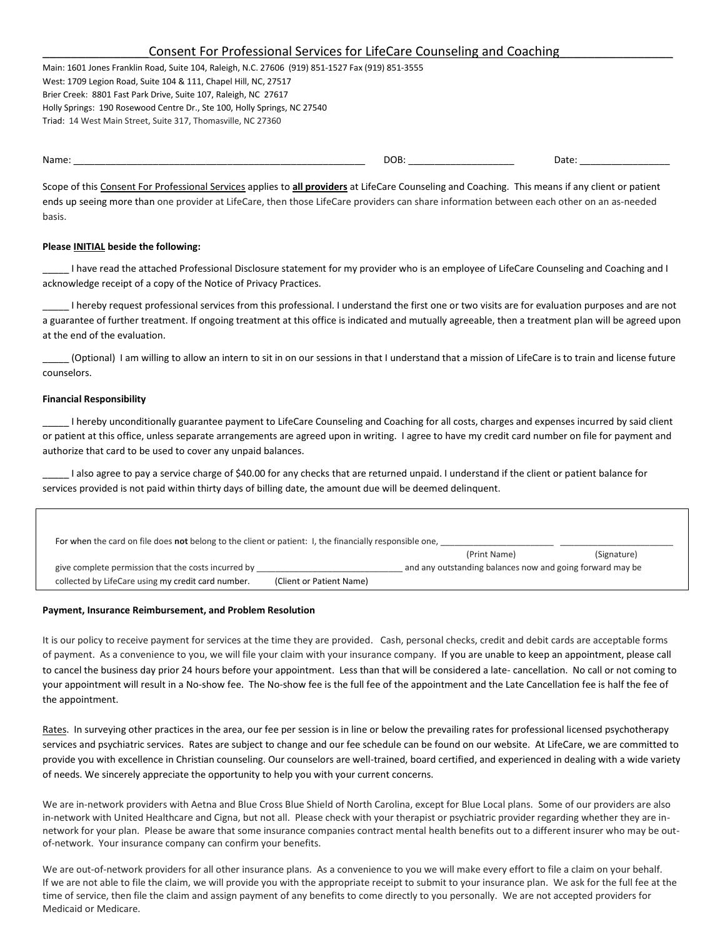| Consent For Professional Services for LifeCare Counseling and Coaching |
|------------------------------------------------------------------------|
|                                                                        |

Main: 1601 Jones Franklin Road, Suite 104, Raleigh, N.C. 27606 (919) 851-1527 Fax (919) 851-3555 West: 1709 Legion Road, Suite 104 & 111, Chapel Hill, NC, 27517 Brier Creek: 8801 Fast Park Drive, Suite 107, Raleigh, NC 27617 Holly Springs: 190 Rosewood Centre Dr., Ste 100, Holly Springs, NC 27540 Triad: 14 West Main Street, Suite 317, Thomasville, NC 27360

Name: \_\_\_\_\_\_\_\_\_\_\_\_\_\_\_\_\_\_\_\_\_\_\_\_\_\_\_\_\_\_\_\_\_\_\_\_\_\_\_\_\_\_\_\_\_\_\_\_\_\_\_\_\_\_\_ DOB: \_\_\_\_\_\_\_\_\_\_\_\_\_\_\_\_\_\_\_\_ Date: \_\_\_\_\_\_\_\_\_\_\_\_\_\_\_\_\_

Scope of this Consent For Professional Services applies to **all providers** at LifeCare Counseling and Coaching. This means if any client or patient ends up seeing more than one provider at LifeCare, then those LifeCare providers can share information between each other on an as-needed basis.

## **Please INITIAL beside the following:**

I have read the attached Professional Disclosure statement for my provider who is an employee of LifeCare Counseling and Coaching and I acknowledge receipt of a copy of the Notice of Privacy Practices.

I hereby request professional services from this professional. I understand the first one or two visits are for evaluation purposes and are not a guarantee of further treatment. If ongoing treatment at this office is indicated and mutually agreeable, then a treatment plan will be agreed upon at the end of the evaluation.

\_\_\_\_\_ (Optional) I am willing to allow an intern to sit in on our sessions in that I understand that a mission of LifeCare is to train and license future counselors.

## **Financial Responsibility**

I hereby unconditionally guarantee payment to LifeCare Counseling and Coaching for all costs, charges and expenses incurred by said client or patient at this office, unless separate arrangements are agreed upon in writing. I agree to have my credit card number on file for payment and authorize that card to be used to cover any unpaid balances.

I also agree to pay a service charge of \$40.00 for any checks that are returned unpaid. I understand if the client or patient balance for services provided is not paid within thirty days of billing date, the amount due will be deemed delinquent.

| For when the card on file does not belong to the client or patient: I, the financially responsible one, |                          |                                                           |             |  |  |
|---------------------------------------------------------------------------------------------------------|--------------------------|-----------------------------------------------------------|-------------|--|--|
|                                                                                                         |                          | (Print Name)                                              | (Signature) |  |  |
| give complete permission that the costs incurred by                                                     |                          | and any outstanding balances now and going forward may be |             |  |  |
| collected by LifeCare using my credit card number.                                                      | (Client or Patient Name) |                                                           |             |  |  |

## **Payment, Insurance Reimbursement, and Problem Resolution**

It is our policy to receive payment for services at the time they are provided. Cash, personal checks, credit and debit cards are acceptable forms of payment. As a convenience to you, we will file your claim with your insurance company. If you are unable to keep an appointment, please call to cancel the business day prior 24 hours before your appointment. Less than that will be considered a late- cancellation. No call or not coming to your appointment will result in a No-show fee. The No-show fee is the full fee of the appointment and the Late Cancellation fee is half the fee of the appointment.

Rates. In surveying other practices in the area, our fee per session is in line or below the prevailing rates for professional licensed psychotherapy services and psychiatric services. Rates are subject to change and our fee schedule can be found on our website. At LifeCare, we are committed to provide you with excellence in Christian counseling. Our counselors are well-trained, board certified, and experienced in dealing with a wide variety of needs. We sincerely appreciate the opportunity to help you with your current concerns.

We are in-network providers with Aetna and Blue Cross Blue Shield of North Carolina, except for Blue Local plans. Some of our providers are also in-network with United Healthcare and Cigna, but not all. Please check with your therapist or psychiatric provider regarding whether they are innetwork for your plan. Please be aware that some insurance companies contract mental health benefits out to a different insurer who may be outof-network. Your insurance company can confirm your benefits.

We are out-of-network providers for all other insurance plans. As a convenience to you we will make every effort to file a claim on your behalf. If we are not able to file the claim, we will provide you with the appropriate receipt to submit to your insurance plan. We ask for the full fee at the time of service, then file the claim and assign payment of any benefits to come directly to you personally. We are not accepted providers for Medicaid or Medicare.